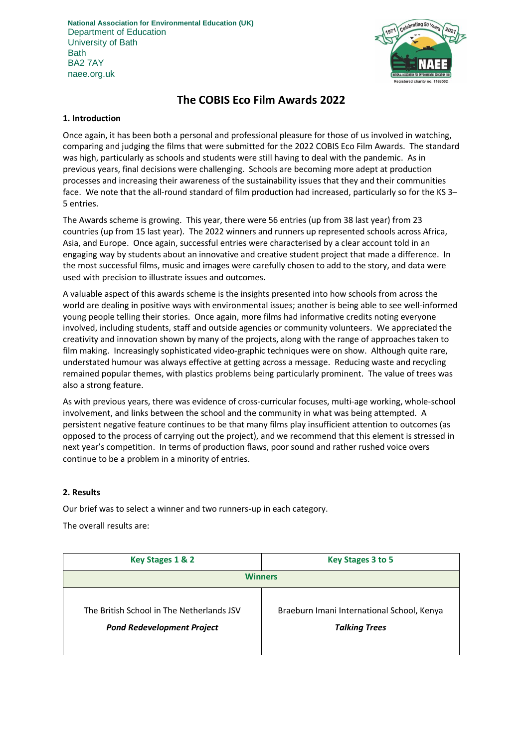**National Association for Environmental Education (UK)** Department of Education University of Bath **Bath** BA2 7AY naee.org.uk



# **The COBIS Eco Film Awards 2022**

#### **1. Introduction**

Once again, it has been both a personal and professional pleasure for those of us involved in watching, comparing and judging the films that were submitted for the 2022 COBIS Eco Film Awards. The standard was high, particularly as schools and students were still having to deal with the pandemic. As in previous years, final decisions were challenging. Schools are becoming more adept at production processes and increasing their awareness of the sustainability issues that they and their communities face. We note that the all-round standard of film production had increased, particularly so for the KS 3– 5 entries.

The Awards scheme is growing. This year, there were 56 entries (up from 38 last year) from 23 countries (up from 15 last year). The 2022 winners and runners up represented schools across Africa, Asia, and Europe. Once again, successful entries were characterised by a clear account told in an engaging way by students about an innovative and creative student project that made a difference. In the most successful films, music and images were carefully chosen to add to the story, and data were used with precision to illustrate issues and outcomes.

A valuable aspect of this awards scheme is the insights presented into how schools from across the world are dealing in positive ways with environmental issues; another is being able to see well-informed young people telling their stories. Once again, more films had informative credits noting everyone involved, including students, staff and outside agencies or community volunteers. We appreciated the creativity and innovation shown by many of the projects, along with the range of approaches taken to film making. Increasingly sophisticated video-graphic techniques were on show. Although quite rare, understated humour was always effective at getting across a message. Reducing waste and recycling remained popular themes, with plastics problems being particularly prominent. The value of trees was also a strong feature.

As with previous years, there was evidence of cross-curricular focuses, multi-age working, whole-school involvement, and links between the school and the community in what was being attempted. A persistent negative feature continues to be that many films play insufficient attention to outcomes (as opposed to the process of carrying out the project), and we recommend that this element is stressed in next year's competition. In terms of production flaws, poor sound and rather rushed voice overs continue to be a problem in a minority of entries.

# **2. Results**

Our brief was to select a winner and two runners-up in each category.

The overall results are:

| Key Stages 1 & 2                                                               | Key Stages 3 to 5                                                  |
|--------------------------------------------------------------------------------|--------------------------------------------------------------------|
| <b>Winners</b>                                                                 |                                                                    |
| The British School in The Netherlands JSV<br><b>Pond Redevelopment Project</b> | Braeburn Imani International School, Kenya<br><b>Talking Trees</b> |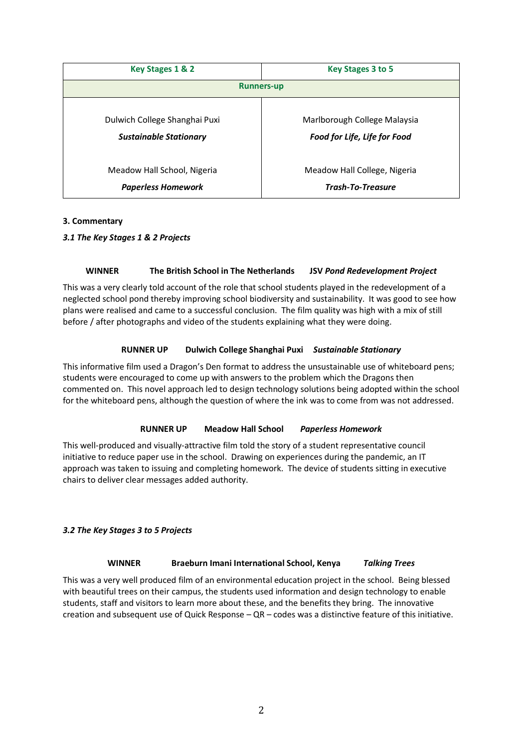| Key Stages 1 & 2              | Key Stages 3 to 5            |
|-------------------------------|------------------------------|
| <b>Runners-up</b>             |                              |
| Dulwich College Shanghai Puxi | Marlborough College Malaysia |
| <b>Sustainable Stationary</b> | Food for Life, Life for Food |
| Meadow Hall School, Nigeria   | Meadow Hall College, Nigeria |
| <b>Paperless Homework</b>     | <b>Trash-To-Treasure</b>     |

# **3. Commentary**

# *3.1 The Key Stages 1 & 2 Projects*

# **WINNER The British School in The Netherlands JSV** *Pond Redevelopment Project*

This was a very clearly told account of the role that school students played in the redevelopment of a neglected school pond thereby improving school biodiversity and sustainability. It was good to see how plans were realised and came to a successful conclusion. The film quality was high with a mix of still before / after photographs and video of the students explaining what they were doing.

# **RUNNER UP Dulwich College Shanghai Puxi** *Sustainable Stationary*

This informative film used a Dragon's Den format to address the unsustainable use of whiteboard pens; students were encouraged to come up with answers to the problem which the Dragons then commented on. This novel approach led to design technology solutions being adopted within the school for the whiteboard pens, although the question of where the ink was to come from was not addressed.

# **RUNNER UP Meadow Hall School** *Paperless Homework*

This well-produced and visually-attractive film told the story of a student representative council initiative to reduce paper use in the school. Drawing on experiences during the pandemic, an IT approach was taken to issuing and completing homework. The device of students sitting in executive chairs to deliver clear messages added authority.

# *3.2 The Key Stages 3 to 5 Projects*

# **WINNER Braeburn Imani International School, Kenya** *Talking Trees*

This was a very well produced film of an environmental education project in the school. Being blessed with beautiful trees on their campus, the students used information and design technology to enable students, staff and visitors to learn more about these, and the benefits they bring. The innovative creation and subsequent use of Quick Response – QR – codes was a distinctive feature of this initiative.